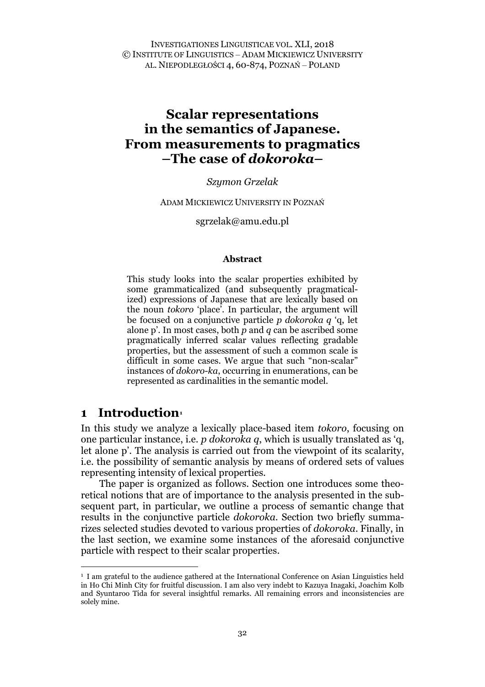INVESTIGATIONES LINGUISTICAE VOL. XLI, 2018 © INSTITUTE OF LINGUISTICS – ADAM MICKIEWICZ UNIVERSITY AL. NIEPODLEGŁOŚCI 4, 60-874, POZNAŃ – POLAND

# **Scalar representations in the semantics of Japanese. From measurements to pragmatics –The case of** *dokoroka***–**

*Szymon Grzelak*

ADAM MICKIEWICZ UNIVERSITY IN POZNAŃ

sgrzelak@amu.edu.pl

#### **Abstract**

This study looks into the scalar properties exhibited by some grammaticalized (and subsequently pragmaticalized) expressions of Japanese that are lexically based on the noun *tokoro* 'place'. In particular, the argument will be focused on a conjunctive particle *p dokoroka q* 'q, let alone p'. In most cases, both *p* and *q* can be ascribed some pragmatically inferred scalar values reflecting gradable properties, but the assessment of such a common scale is difficult in some cases. We argue that such "non-scalar" instances of *dokoro-ka*, occurring in enumerations, can be represented as cardinalities in the semantic model.

## **1 Introduction[1](#page-0-0)**

In this study we analyze a lexically place-based item *tokoro*, focusing on one particular instance, i.e. *p dokoroka q*, which is usually translated as 'q, let alone p'. The analysis is carried out from the viewpoint of its scalarity, i.e. the possibility of semantic analysis by means of ordered sets of values representing intensity of lexical properties.

The paper is organized as follows. Section one introduces some theoretical notions that are of importance to the analysis presented in the subsequent part, in particular, we outline a process of semantic change that results in the conjunctive particle *dokoroka*. Section two briefly summarizes selected studies devoted to various properties of *dokoroka*. Finally, in the last section, we examine some instances of the aforesaid conjunctive particle with respect to their scalar properties.

<span id="page-0-0"></span> <sup>1</sup> I am grateful to the audience gathered at the International Conference on Asian Linguistics held in Ho Chi Minh City for fruitful discussion. I am also very indebt to Kazuya Inagaki, Joachim Kolb and Syuntaroo Tida for several insightful remarks. All remaining errors and inconsistencies are solely mine.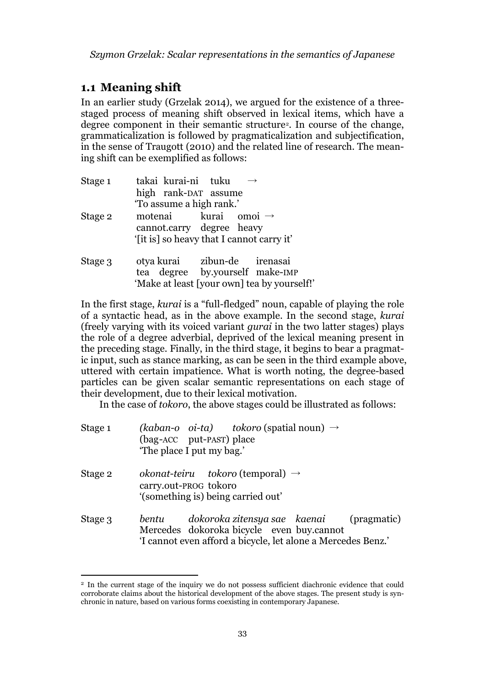## **1.1 Meaning shift**

In an earlier study (Grzelak 2014), we argued for the existence of a threestaged process of meaning shift observed in lexical items, which have a degree component in their semantic structure<sup>[2](#page-1-0)</sup>. In course of the change, grammaticalization is followed by pragmaticalization and subjectification, in the sense of Traugott (2010) and the related line of research. The meaning shift can be exemplified as follows:

| Stage 1 | takai kurai-ni tuku                       |  |                                             |
|---------|-------------------------------------------|--|---------------------------------------------|
|         | high rank-DAT assume                      |  |                                             |
|         | 'To assume a high rank.'                  |  |                                             |
| Stage 2 | motenai kurai omoi $\rightarrow$          |  |                                             |
|         | cannot.carry degree heavy                 |  |                                             |
|         | '[it is] so heavy that I cannot carry it' |  |                                             |
| Stage 3 | otya kurai zibun-de irenasai              |  |                                             |
|         | tea degree by.yourself make-IMP           |  |                                             |
|         |                                           |  | 'Make at least [your own] tea by yourself!' |

In the first stage, *kurai* is a "full-fledged" noun, capable of playing the role of a syntactic head, as in the above example. In the second stage, *kurai* (freely varying with its voiced variant *gurai* in the two latter stages) plays the role of a degree adverbial, deprived of the lexical meaning present in the preceding stage. Finally, in the third stage, it begins to bear a pragmatic input, such as stance marking, as can be seen in the third example above, uttered with certain impatience. What is worth noting, the degree-based particles can be given scalar semantic representations on each stage of their development, due to their lexical motivation.

In the case of *tokoro*, the above stages could be illustrated as follows:

| Stage 1 | (kaban-o oi-ta) tokoro (spatial noun) $\rightarrow$<br>(bag-ACC put-PAST) place<br>'The place I put my bag.'                                                      |
|---------|-------------------------------------------------------------------------------------------------------------------------------------------------------------------|
| Stage 2 | okonat-teiru tokoro (temporal) $\rightarrow$<br>carry.out-PROG tokoro<br>'(something is) being carried out'                                                       |
| Stage 3 | dokoroka zitensya sae kaenai<br>(pragmatic)<br>bentu<br>Mercedes dokoroka bicycle even buy.cannot<br>'I cannot even afford a bicycle, let alone a Mercedes Benz.' |

<span id="page-1-0"></span><sup>&</sup>lt;sup>2</sup> In the current stage of the inquiry we do not possess sufficient diachronic evidence that could corroborate claims about the historical development of the above stages. The present study is synchronic in nature, based on various forms coexisting in contemporary Japanese.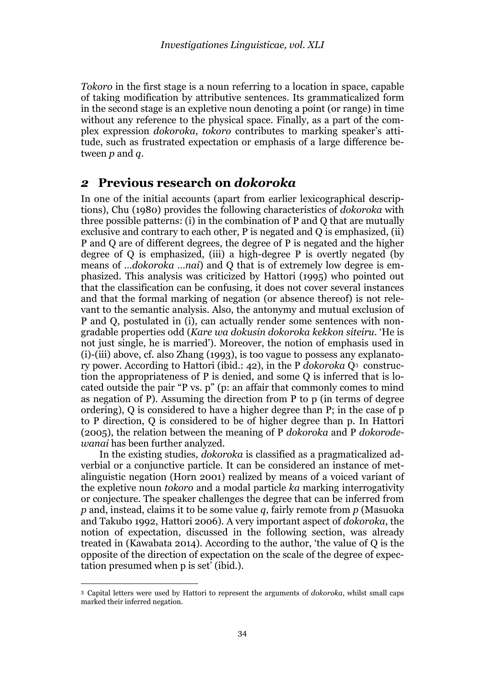*Tokoro* in the first stage is a noun referring to a location in space, capable of taking modification by attributive sentences. Its grammaticalized form in the second stage is an expletive noun denoting a point (or range) in time without any reference to the physical space. Finally, as a part of the complex expression *dokoroka*, *tokoro* contributes to marking speaker's attitude, such as frustrated expectation or emphasis of a large difference between *p* and *q*.

## *2* **Previous research on** *dokoroka*

In one of the initial accounts (apart from earlier lexicographical descriptions), Chu (1980) provides the following characteristics of *dokoroka* with three possible patterns: (i) in the combination of P and Q that are mutually exclusive and contrary to each other, P is negated and Q is emphasized, (ii) P and Q are of different degrees, the degree of P is negated and the higher degree of Q is emphasized, (iii) a high-degree  $P$  is overtly negated (by means of *…dokoroka …nai*) and Q that is of extremely low degree is emphasized. This analysis was criticized by Hattori (1995) who pointed out that the classification can be confusing, it does not cover several instances and that the formal marking of negation (or absence thereof) is not relevant to the semantic analysis. Also, the antonymy and mutual exclusion of P and Q, postulated in (i), can actually render some sentences with nongradable properties odd (*Kare wa dokusin dokoroka kekkon siteiru*. 'He is not just single, he is married'). Moreover, the notion of emphasis used in (i)-(iii) above, cf. also Zhang (1993), is too vague to possess any explanatory power. According to Hattori (ibid.: 42), in the P *dokoroka* Q[3](#page-2-0) construction the appropriateness of P is denied, and some Q is inferred that is located outside the pair "P vs. p" (p: an affair that commonly comes to mind as negation of P). Assuming the direction from P to p (in terms of degree ordering), Q is considered to have a higher degree than P; in the case of p to P direction, Q is considered to be of higher degree than p. In Hattori (2005), the relation between the meaning of P *dokoroka* and P *dokorodewanai* has been further analyzed.

In the existing studies, *dokoroka* is classified as a pragmaticalized adverbial or a conjunctive particle. It can be considered an instance of metalinguistic negation (Horn 2001) realized by means of a voiced variant of the expletive noun *tokoro* and a modal particle *ka* marking interrogativity or conjecture. The speaker challenges the degree that can be inferred from *p* and, instead, claims it to be some value *q*, fairly remote from *p* (Masuoka and Takubo 1992, Hattori 2006). A very important aspect of *dokoroka*, the notion of expectation, discussed in the following section, was already treated in (Kawabata 2014). According to the author, 'the value of Q is the opposite of the direction of expectation on the scale of the degree of expectation presumed when p is set' (ibid.).

<span id="page-2-0"></span> <sup>3</sup> Capital letters were used by Hattori to represent the arguments of *dokoroka*, whilst small caps marked their inferred negation.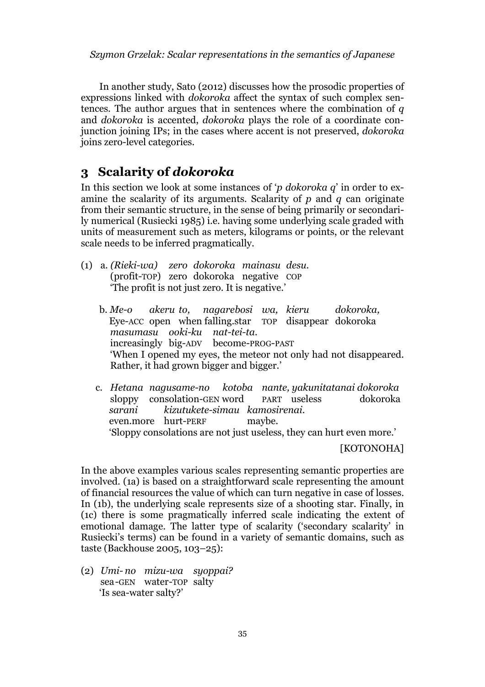In another study, Sato (2012) discusses how the prosodic properties of expressions linked with *dokoroka* affect the syntax of such complex sentences. The author argues that in sentences where the combination of *q* and *dokoroka* is accented, *dokoroka* plays the role of a coordinate conjunction joining IPs; in the cases where accent is not preserved, *dokoroka* joins zero-level categories.

## **3 Scalarity of** *dokoroka*

In this section we look at some instances of '*p dokoroka q*' in order to examine the scalarity of its arguments. Scalarity of *p* and *q* can originate from their semantic structure, in the sense of being primarily or secondarily numerical (Rusiecki 1985) i.e. having some underlying scale graded with units of measurement such as meters, kilograms or points, or the relevant scale needs to be inferred pragmatically.

- (1) a. *(Rieki-wa) zero dokoroka mainasu desu.* (profit-TOP) zero dokoroka negative COP 'The profit is not just zero. It is negative.'
	- b. *Me-o akeru to, nagarebosi wa, kieru dokoroka,* Eye-ACC open when falling.star TOP disappear dokoroka *masumasu ooki-ku nat-tei-ta.* increasingly big-ADV become-PROG-PAST 'When I opened my eyes, the meteor not only had not disappeared. Rather, it had grown bigger and bigger.'
	- c. *Hetana nagusame-no kotoba nante, yakunitatanai dokoroka* sloppy consolation-GEN word PART useless *sarani kizutukete-simau kamosirenai.* even.more hurt-PERF maybe. 'Sloppy consolations are not just useless, they can hurt even more.'

[KOTONOHA]

In the above examples various scales representing semantic properties are involved. (1a) is based on a straightforward scale representing the amount of financial resources the value of which can turn negative in case of losses. In (1b), the underlying scale represents size of a shooting star. Finally, in (1c) there is some pragmatically inferred scale indicating the extent of emotional damage. The latter type of scalarity ('secondary scalarity' in Rusiecki's terms) can be found in a variety of semantic domains, such as taste (Backhouse 2005, 103–25):

(2) *Umi- no mizu-wa syoppai?* sea-GEN water-TOP salty 'Is sea-water salty?'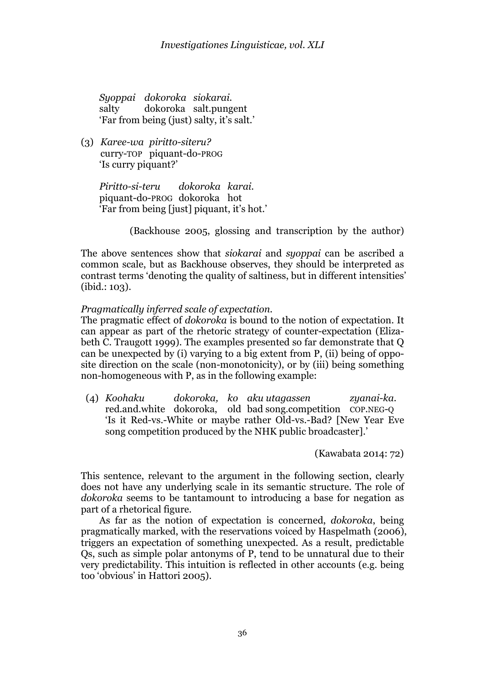*Syoppai dokoroka siokarai.* salty dokoroka salt.pungent 'Far from being (just) salty, it's salt.'

(3) *Karee-wa piritto-siteru?* curry-TOP piquant-do-PROG 'Is curry piquant?'

> *Piritto-si-teru dokoroka karai.* piquant-do-PROG dokoroka hot 'Far from being [just] piquant, it's hot.'

> > (Backhouse 2005, glossing and transcription by the author)

The above sentences show that *siokarai* and *syoppai* can be ascribed a common scale, but as Backhouse observes, they should be interpreted as contrast terms 'denoting the quality of saltiness, but in different intensities'  $(ibid.: 103).$ 

## *Pragmatically inferred scale of expectation.*

The pragmatic effect of *dokoroka* is bound to the notion of expectation. It can appear as part of the rhetoric strategy of counter-expectation (Elizabeth C. Traugott 1999). The examples presented so far demonstrate that Q can be unexpected by (i) varying to a big extent from P, (ii) being of opposite direction on the scale (non-monotonicity), or by (iii) being something non-homogeneous with P, as in the following example:

(4) *Koohaku dokoroka, ko aku utagassen zyanai-ka.* red.and.white dokoroka, old bad song.competition COP.NEG-Q 'Is it Red-vs.-White or maybe rather Old-vs.-Bad? [New Year Eve song competition produced by the NHK public broadcaster].'

(Kawabata 2014: 72)

This sentence, relevant to the argument in the following section, clearly does not have any underlying scale in its semantic structure. The role of *dokoroka* seems to be tantamount to introducing a base for negation as part of a rhetorical figure.

As far as the notion of expectation is concerned, *dokoroka*, being pragmatically marked, with the reservations voiced by Haspelmath (2006), triggers an expectation of something unexpected. As a result, predictable Qs, such as simple polar antonyms of P, tend to be unnatural due to their very predictability. This intuition is reflected in other accounts (e.g. being too 'obvious' in Hattori 2005).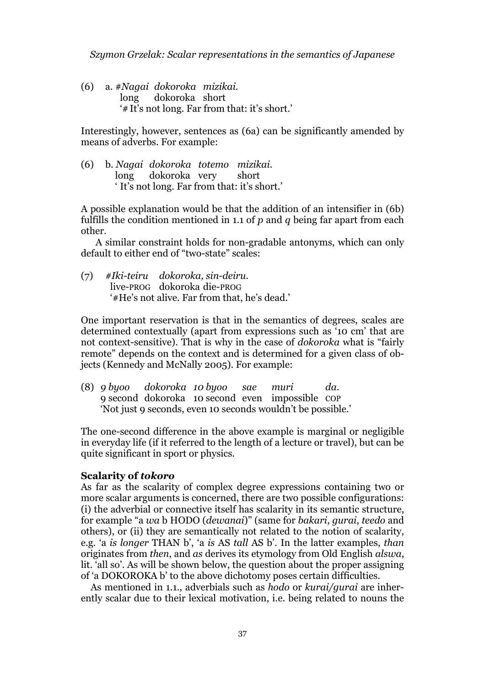(6) a. #*Nagai dokoroka mizikai.* long dokoroka short '#It's not long. Far from that: it's short.'

Interestingly, however, sentences as (6a) can be significantly amended by means of adverbs. For example:

(6) b. *Nagai dokoroka totemo mizikai.* long dokoroka very short ' It's not long. Far from that: it's short.'

A possible explanation would be that the addition of an intensifier in (6b) fulfills the condition mentioned in 1.1 of *p* and *q* being far apart from each other.

A similar constraint holds for non-gradable antonyms, which can only default to either end of "two-state" scales:

(7) *#Iki-teiru dokoroka, sin-deiru.* live-PROG dokoroka die-PROG '#He's not alive. Far from that, he's dead.'

One important reservation is that in the semantics of degrees, scales are determined contextually (apart from expressions such as '10 cm' that are not context-sensitive). That is why in the case of *dokoroka* what is "fairly remote" depends on the context and is determined for a given class of objects (Kennedy and McNally 2005). For example:

(8) *9 byoo dokoroka 10 byoo sae muri da.* 9 second dokoroka 10 second even impossible COP 'Not just 9 seconds, even 10 seconds wouldn't be possible.'

The one-second difference in the above example is marginal or negligible in everyday life (if it referred to the length of a lecture or travel), but can be quite significant in sport or physics.

### **Scalarity of** *tokoro*

As far as the scalarity of complex degree expressions containing two or more scalar arguments is concerned, there are two possible configurations: (i) the adverbial or connective itself has scalarity in its semantic structure, for example "a *wa* b HODO (*dewanai*)" (same for *bakari*, *gurai*, *teedo* and others), or (ii) they are semantically not related to the notion of scalarity, e.g. 'a *is longer* THAN b', 'a *is* AS *tall* AS b'. In the latter examples, *than* originates from *then*, and *as* derives its etymology from Old English *alswa*, lit. 'all so'. As will be shown below, the question about the proper assigning of 'a DOKOROKA b' to the above dichotomy poses certain difficulties.

As mentioned in 1.1., adverbials such as *hodo* or *kurai/gurai* are inherently scalar due to their lexical motivation, i.e. being related to nouns the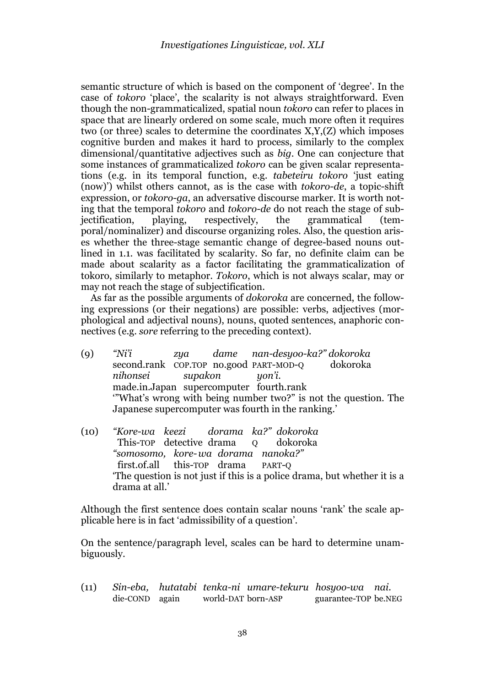semantic structure of which is based on the component of 'degree'. In the case of *tokoro* 'place', the scalarity is not always straightforward. Even though the non-grammaticalized, spatial noun *tokoro* can refer to places in space that are linearly ordered on some scale, much more often it requires two (or three) scales to determine the coordinates X,Y,(Z) which imposes cognitive burden and makes it hard to process, similarly to the complex dimensional/quantitative adjectives such as *big*. One can conjecture that some instances of grammaticalized *tokoro* can be given scalar representations (e.g. in its temporal function, e.g. *tabeteiru tokoro* 'just eating (now)') whilst others cannot, as is the case with *tokoro-de*, a topic-shift expression, or *tokoro-ga*, an adversative discourse marker. It is worth noting that the temporal *tokoro* and *tokoro-de* do not reach the stage of sub-<br>jectification, playing, respectively, the grammatical (temjectification, playing, respectively, the grammatical (temporal/nominalizer) and discourse organizing roles. Also, the question arises whether the three-stage semantic change of degree-based nouns outlined in 1.1. was facilitated by scalarity. So far, no definite claim can be made about scalarity as a factor facilitating the grammaticalization of tokoro, similarly to metaphor. *Tokoro*, which is not always scalar, may or may not reach the stage of subjectification.

As far as the possible arguments of *dokoroka* are concerned, the following expressions (or their negations) are possible: verbs, adjectives (morphological and adjectival nouns), nouns, quoted sentences, anaphoric connectives (e.g. *sore* referring to the preceding context).

- (9) *"Ni'i zya dame nan-desyoo-ka?" dokoroka*  second.rank COP.TOP no.good PART-MOD-Q dokoroka *nihonsei supakon yon'i.* made.in.Japan supercomputer fourth.rank '"What's wrong with being number two?" is not the question. The Japanese supercomputer was fourth in the ranking.'
- (10) *"Kore-wa keezi dorama ka?" dokoroka* This-TOP detective drama o dokoroka *"somosomo, kore-wa dorama nanoka?"* first.of.all this-TOP drama PART-Q 'The question is not just if this is a police drama, but whether it is a drama at all.'

Although the first sentence does contain scalar nouns 'rank' the scale applicable here is in fact 'admissibility of a question'.

On the sentence/paragraph level, scales can be hard to determine unambiguously.

(11) *Sin-eba, hutatabi tenka-ni umare-tekuru hosyoo-wa nai.* world-DAT born-ASP guarantee-TOP be.NEG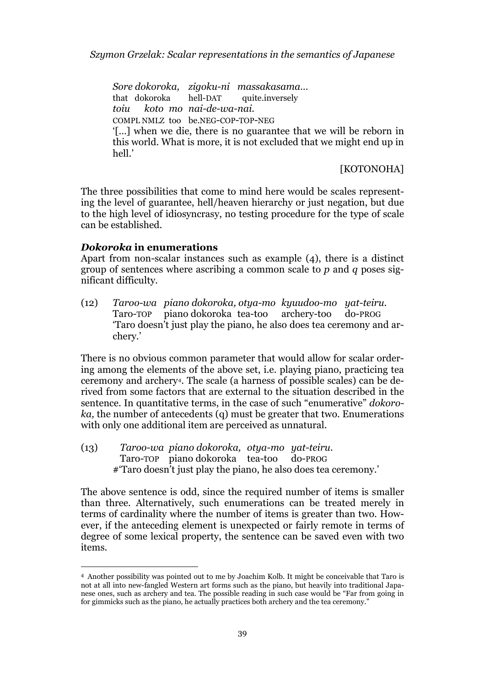*Sore dokoroka, zigoku-ni massakasama…*  that dokoroka hell-DAT quite.inversely *toiu koto mo nai-de-wa-nai.* COMPL NMLZ too be.NEG-COP-TOP-NEG '[…] when we die, there is no guarantee that we will be reborn in this world. What is more, it is not excluded that we might end up in hell.'

[KOTONOHA]

The three possibilities that come to mind here would be scales representing the level of guarantee, hell/heaven hierarchy or just negation, but due to the high level of idiosyncrasy, no testing procedure for the type of scale can be established.

#### *Dokoroka* **in enumerations**

Apart from non-scalar instances such as example (4), there is a distinct group of sentences where ascribing a common scale to *p* and *q* poses significant difficulty.

(12) *Taroo-wa piano dokoroka, otya-mo kyuudoo-mo yat-teiru.* Taro-TOP piano dokoroka tea-too archery-too do-PROG 'Taro doesn't just play the piano, he also does tea ceremony and archery.'

There is no obvious common parameter that would allow for scalar ordering among the elements of the above set, i.e. playing piano, practicing tea ceremony and archery[4](#page-7-0). The scale (a harness of possible scales) can be derived from some factors that are external to the situation described in the sentence. In quantitative terms, in the case of such "enumerative" *dokoroka,* the number of antecedents (q) must be greater that two. Enumerations with only one additional item are perceived as unnatural.

(13) *Taroo-wa piano dokoroka, otya-mo yat-teiru.* Taro-TOP piano dokoroka tea-too do-PROG #'Taro doesn't just play the piano, he also does tea ceremony.'

The above sentence is odd, since the required number of items is smaller than three. Alternatively, such enumerations can be treated merely in terms of cardinality where the number of items is greater than two. However, if the anteceding element is unexpected or fairly remote in terms of degree of some lexical property, the sentence can be saved even with two items.

<span id="page-7-0"></span> <sup>4</sup> Another possibility was pointed out to me by Joachim Kolb. It might be conceivable that Taro is not at all into new-fangled Western art forms such as the piano, but heavily into traditional Japanese ones, such as archery and tea. The possible reading in such case would be "Far from going in for gimmicks such as the piano, he actually practices both archery and the tea ceremony."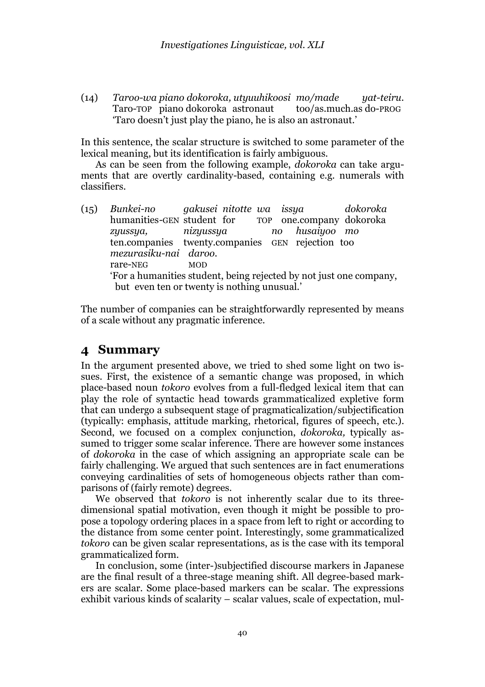(14) *Taroo-wa piano dokoroka, utyuuhikoosi mo/made yat-teiru.* Taro-TOP piano dokoroka astronaut 'Taro doesn't just play the piano, he is also an astronaut.'

In this sentence, the scalar structure is switched to some parameter of the lexical meaning, but its identification is fairly ambiguous.

As can be seen from the following example, *dokoroka* can take arguments that are overtly cardinality-based, containing e.g. numerals with classifiers.

(15) *Bunkei-no gakusei nitotte wa issya dokoroka* TOP one.company dokoroka *zyussya, nizyussya no husaiyoo mo* ten.companies twenty.companies GEN rejection too *mezurasiku-nai daroo.* rare-NEG MOD 'For a humanities student, being rejected by not just one company, but even ten or twenty is nothing unusual.'

The number of companies can be straightforwardly represented by means of a scale without any pragmatic inference.

## **4 Summary**

In the argument presented above, we tried to shed some light on two issues. First, the existence of a semantic change was proposed, in which place-based noun *tokoro* evolves from a full-fledged lexical item that can play the role of syntactic head towards grammaticalized expletive form that can undergo a subsequent stage of pragmaticalization/subjectification (typically: emphasis, attitude marking, rhetorical, figures of speech, etc.). Second, we focused on a complex conjunction, *dokoroka,* typically assumed to trigger some scalar inference. There are however some instances of *dokoroka* in the case of which assigning an appropriate scale can be fairly challenging. We argued that such sentences are in fact enumerations conveying cardinalities of sets of homogeneous objects rather than comparisons of (fairly remote) degrees.

 We observed that *tokoro* is not inherently scalar due to its threedimensional spatial motivation, even though it might be possible to propose a topology ordering places in a space from left to right or according to the distance from some center point. Interestingly, some grammaticalized *tokoro* can be given scalar representations, as is the case with its temporal grammaticalized form.

In conclusion, some (inter-)subjectified discourse markers in Japanese are the final result of a three-stage meaning shift. All degree-based markers are scalar. Some place-based markers can be scalar. The expressions exhibit various kinds of scalarity – scalar values, scale of expectation, mul-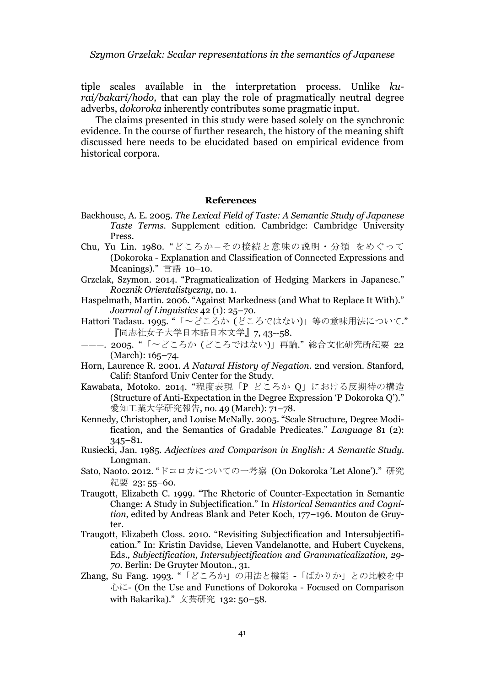tiple scales available in the interpretation process. Unlike *kurai/bakari/hodo,* that can play the role of pragmatically neutral degree adverbs, *dokoroka* inherently contributes some pragmatic input.

The claims presented in this study were based solely on the synchronic evidence. In the course of further research, the history of the meaning shift discussed here needs to be elucidated based on empirical evidence from historical corpora.

#### **References**

- Backhouse, A. E. 2005. *The Lexical Field of Taste: A Semantic Study of Japanese Taste Terms*. Supplement edition. Cambridge: Cambridge University Press.
- Chu, Yu Lin. 1980. "どころか―その接続と意味の説明・分類 をめぐって (Dokoroka - Explanation and Classification of Connected Expressions and Meanings)." 言語 10–10.
- Grzelak, Szymon. 2014. "Pragmaticalization of Hedging Markers in Japanese." *Rocznik Orientalistyczny*, no. 1.
- Haspelmath, Martin. 2006. "Against Markedness (and What to Replace It With)." *Journal of Linguistics* 42 (1): 25–70.
- Hattori Tadasu. 1995. "「~どころか (どころではない)」等の意味用法について." 『同志社女子大学日本語日本文学』7, 43--58.
- ———. 2005. "「〜どころか (どころではない)」再論." 総合文化研究所紀要 22 (March): 165–74.
- Horn, Laurence R. 2001. *A Natural History of Negation*. 2nd version. Stanford, Calif: Stanford Univ Center for the Study.
- Kawabata, Motoko. 2014. "程度表現「P どころか Q」における反期待の構造 (Structure of Anti-Expectation in the Degree Expression 'P Dokoroka Q')." 愛知工業大学研究報告, no. 49 (March): 71–78.
- Kennedy, Christopher, and Louise McNally. 2005. "Scale Structure, Degree Modification, and the Semantics of Gradable Predicates." *Language* 81 (2): 345–81.
- Rusiecki, Jan. 1985. *Adjectives and Comparison in English: A Semantic Study*. Longman.
- Sato, Naoto. 2012. "ドコロカについての一考察 (On Dokoroka 'Let Alone')." 研究 紀要 23:55-60.
- Traugott, Elizabeth C. 1999. "The Rhetoric of Counter-Expectation in Semantic Change: A Study in Subjectification." In *Historical Semantics and Cognition*, edited by Andreas Blank and Peter Koch, 177–196. Mouton de Gruyter.
- Traugott, Elizabeth Closs. 2010. "Revisiting Subjectification and Intersubjectification." In: Kristin Davidse, Lieven Vandelanotte, and Hubert Cuyckens, Eds.*, Subjectification, Intersubjectification and Grammaticalization, 29- 70.* Berlin: De Gruyter Mouton*.*, 31.
- Zhang, Su Fang. 1993. "「どころか」の用法と機能 -「ばかりか」との比較を中 心に- (On the Use and Functions of Dokoroka - Focused on Comparison with Bakarika)." 文芸研究 132: 50–58.